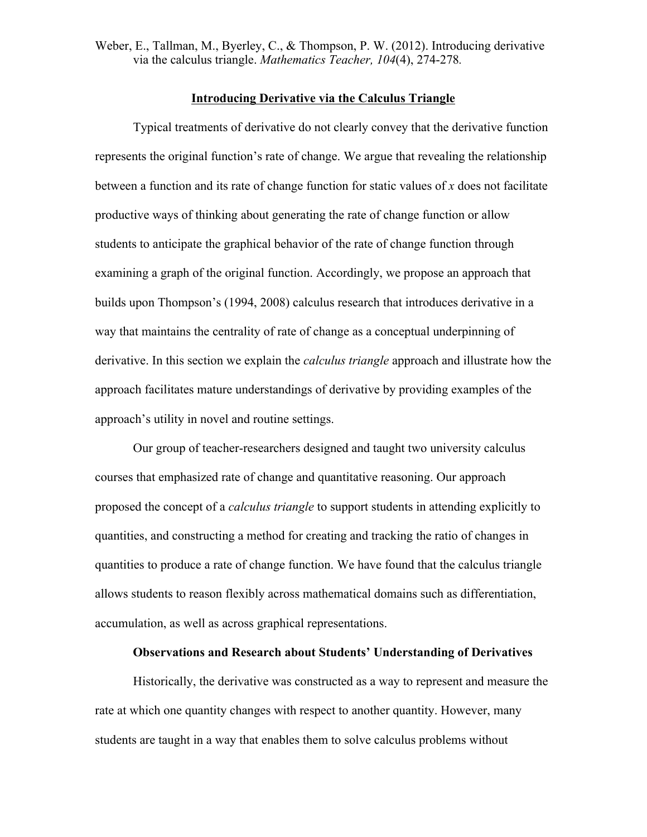Weber, E., Tallman, M., Byerley, C., & Thompson, P. W. (2012). Introducing derivative via the calculus triangle. *Mathematics Teacher, 104*(4), 274-278*.*

## **Introducing Derivative via the Calculus Triangle**

Typical treatments of derivative do not clearly convey that the derivative function represents the original function's rate of change. We argue that revealing the relationship between a function and its rate of change function for static values of *x* does not facilitate productive ways of thinking about generating the rate of change function or allow students to anticipate the graphical behavior of the rate of change function through examining a graph of the original function. Accordingly, we propose an approach that builds upon Thompson's (1994, 2008) calculus research that introduces derivative in a way that maintains the centrality of rate of change as a conceptual underpinning of derivative. In this section we explain the *calculus triangle* approach and illustrate how the approach facilitates mature understandings of derivative by providing examples of the approach's utility in novel and routine settings.

Our group of teacher-researchers designed and taught two university calculus courses that emphasized rate of change and quantitative reasoning. Our approach proposed the concept of a *calculus triangle* to support students in attending explicitly to quantities, and constructing a method for creating and tracking the ratio of changes in quantities to produce a rate of change function. We have found that the calculus triangle allows students to reason flexibly across mathematical domains such as differentiation, accumulation, as well as across graphical representations.

## **Observations and Research about Students' Understanding of Derivatives**

Historically, the derivative was constructed as a way to represent and measure the rate at which one quantity changes with respect to another quantity. However, many students are taught in a way that enables them to solve calculus problems without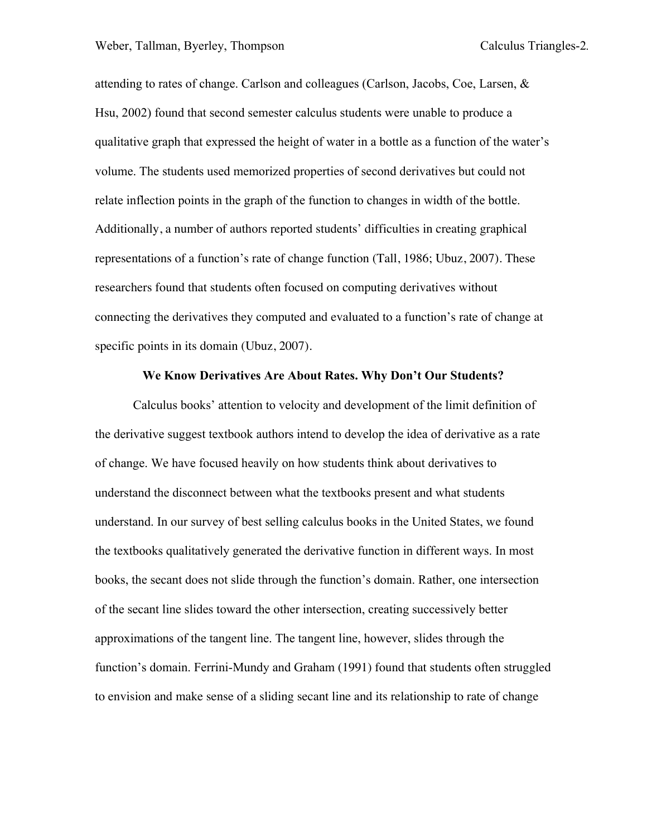attending to rates of change. Carlson and colleagues (Carlson, Jacobs, Coe, Larsen, & Hsu, 2002) found that second semester calculus students were unable to produce a qualitative graph that expressed the height of water in a bottle as a function of the water's volume. The students used memorized properties of second derivatives but could not relate inflection points in the graph of the function to changes in width of the bottle. Additionally, a number of authors reported students' difficulties in creating graphical representations of a function's rate of change function (Tall, 1986; Ubuz, 2007). These researchers found that students often focused on computing derivatives without connecting the derivatives they computed and evaluated to a function's rate of change at specific points in its domain (Ubuz, 2007).

## **We Know Derivatives Are About Rates. Why Don't Our Students?**

Calculus books' attention to velocity and development of the limit definition of the derivative suggest textbook authors intend to develop the idea of derivative as a rate of change. We have focused heavily on how students think about derivatives to understand the disconnect between what the textbooks present and what students understand. In our survey of best selling calculus books in the United States, we found the textbooks qualitatively generated the derivative function in different ways. In most books, the secant does not slide through the function's domain. Rather, one intersection of the secant line slides toward the other intersection, creating successively better approximations of the tangent line. The tangent line, however, slides through the function's domain. Ferrini-Mundy and Graham (1991) found that students often struggled to envision and make sense of a sliding secant line and its relationship to rate of change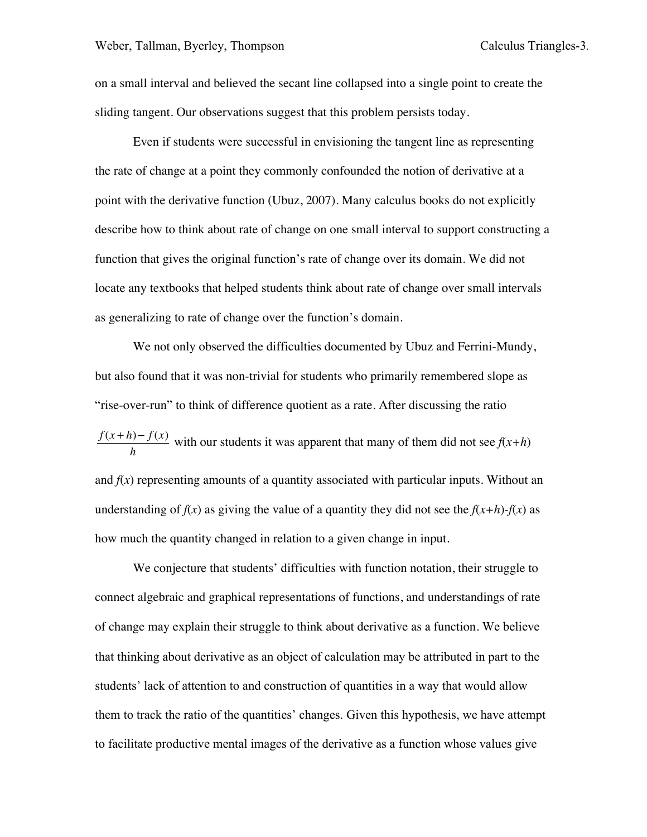on a small interval and believed the secant line collapsed into a single point to create the sliding tangent. Our observations suggest that this problem persists today.

Even if students were successful in envisioning the tangent line as representing the rate of change at a point they commonly confounded the notion of derivative at a point with the derivative function (Ubuz, 2007). Many calculus books do not explicitly describe how to think about rate of change on one small interval to support constructing a function that gives the original function's rate of change over its domain. We did not locate any textbooks that helped students think about rate of change over small intervals as generalizing to rate of change over the function's domain.

We not only observed the difficulties documented by Ubuz and Ferrini-Mundy, but also found that it was non-trivial for students who primarily remembered slope as "rise-over-run" to think of difference quotient as a rate. After discussing the ratio  $\frac{f(x+h)-f(x)}{h}$  with our students it was apparent that many of them did not see  $f(x+h)$ and  $f(x)$  representing amounts of a quantity associated with particular inputs. Without an understanding of  $f(x)$  as giving the value of a quantity they did not see the  $f(x+h)-f(x)$  as how much the quantity changed in relation to a given change in input.

We conjecture that students' difficulties with function notation, their struggle to connect algebraic and graphical representations of functions, and understandings of rate of change may explain their struggle to think about derivative as a function. We believe that thinking about derivative as an object of calculation may be attributed in part to the students' lack of attention to and construction of quantities in a way that would allow them to track the ratio of the quantities' changes. Given this hypothesis, we have attempt to facilitate productive mental images of the derivative as a function whose values give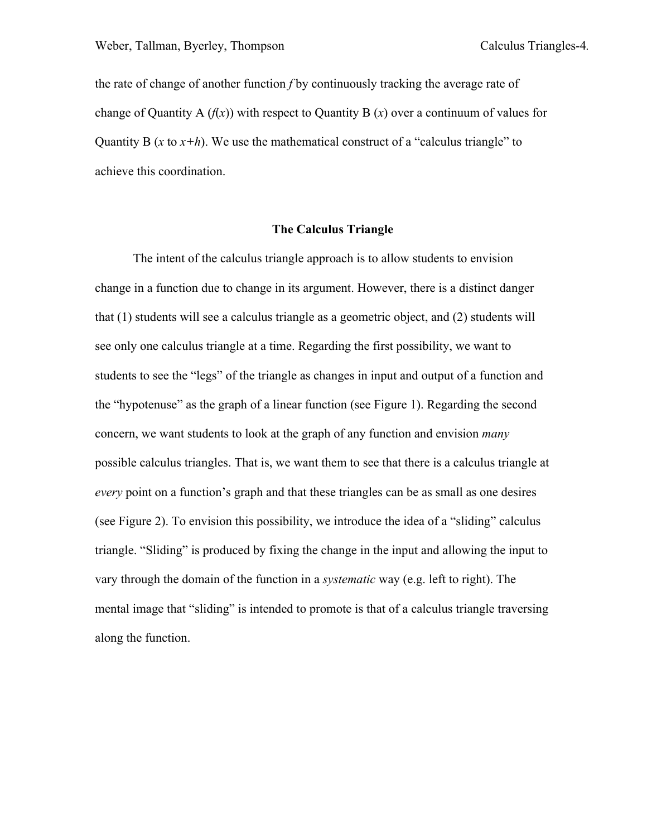the rate of change of another function *f* by continuously tracking the average rate of change of Quantity A  $(f(x))$  with respect to Quantity B  $(x)$  over a continuum of values for Quantity B ( $x$  to  $x+h$ ). We use the mathematical construct of a "calculus triangle" to achieve this coordination.

# **The Calculus Triangle**

The intent of the calculus triangle approach is to allow students to envision change in a function due to change in its argument. However, there is a distinct danger that (1) students will see a calculus triangle as a geometric object, and (2) students will see only one calculus triangle at a time. Regarding the first possibility, we want to students to see the "legs" of the triangle as changes in input and output of a function and the "hypotenuse" as the graph of a linear function (see Figure 1). Regarding the second concern, we want students to look at the graph of any function and envision *many* possible calculus triangles. That is, we want them to see that there is a calculus triangle at *every* point on a function's graph and that these triangles can be as small as one desires (see Figure 2). To envision this possibility, we introduce the idea of a "sliding" calculus triangle. "Sliding" is produced by fixing the change in the input and allowing the input to vary through the domain of the function in a *systematic* way (e.g. left to right). The mental image that "sliding" is intended to promote is that of a calculus triangle traversing along the function.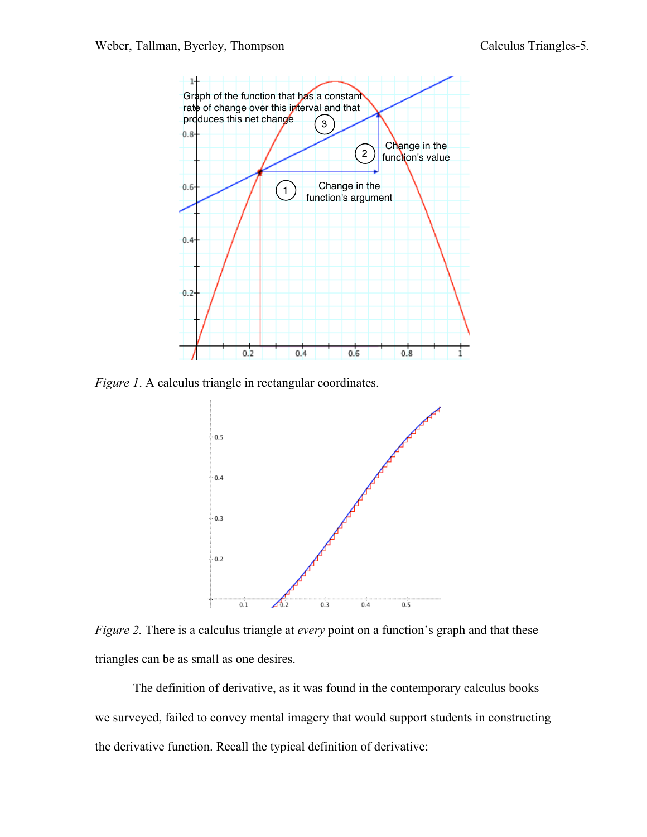

*Figure 1.* A calculus triangle in rectangular coordinates.



*Figure 2.* There is a calculus triangle at *every* point on a function's graph and that these triangles can be as small as one desires.

The definition of derivative, as it was found in the contemporary calculus books we surveyed, failed to convey mental imagery that would support students in constructing the derivative function. Recall the typical definition of derivative: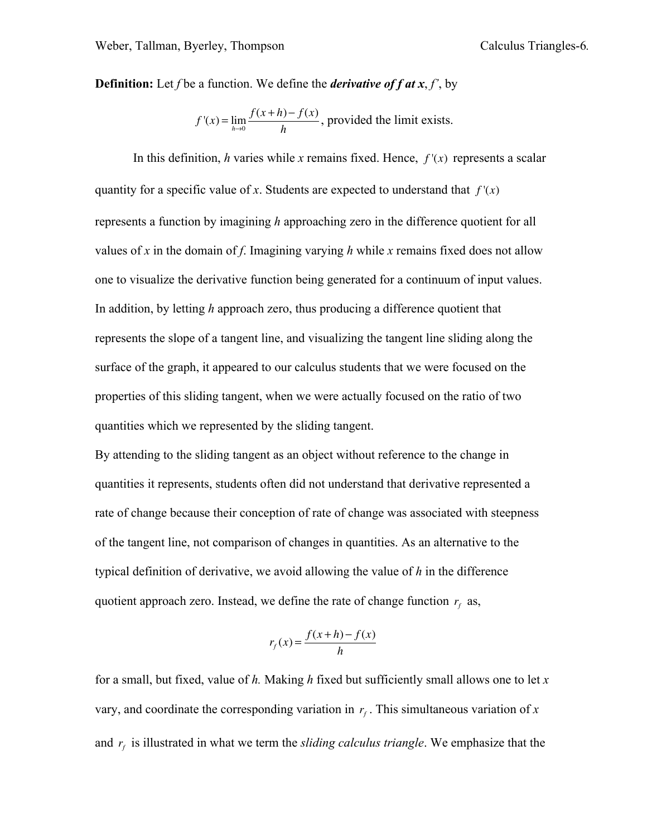**Definition:** Let *f* be a function. We define the *derivative of f at x*, *f'*, by

$$
f'(x) = \lim_{h \to 0} \frac{f(x+h) - f(x)}{h}
$$
, provided the limit exists.

In this definition, *h* varies while *x* remains fixed. Hence,  $f'(x)$  represents a scalar quantity for a specific value of *x*. Students are expected to understand that  $f'(x)$ represents a function by imagining *h* approaching zero in the difference quotient for all values of *x* in the domain of *f*. Imagining varying *h* while *x* remains fixed does not allow one to visualize the derivative function being generated for a continuum of input values. In addition, by letting *h* approach zero, thus producing a difference quotient that represents the slope of a tangent line, and visualizing the tangent line sliding along the surface of the graph, it appeared to our calculus students that we were focused on the properties of this sliding tangent, when we were actually focused on the ratio of two quantities which we represented by the sliding tangent.

By attending to the sliding tangent as an object without reference to the change in quantities it represents, students often did not understand that derivative represented a rate of change because their conception of rate of change was associated with steepness of the tangent line, not comparison of changes in quantities. As an alternative to the typical definition of derivative, we avoid allowing the value of *h* in the difference quotient approach zero. Instead, we define the rate of change function  $r<sub>c</sub>$  as,

$$
r_f(x) = \frac{f(x+h) - f(x)}{h}
$$

for a small, but fixed, value of *h.* Making *h* fixed but sufficiently small allows one to let *x* vary, and coordinate the corresponding variation in  $r_f$ . This simultaneous variation of x and  $r_f$  is illustrated in what we term the *sliding calculus triangle*. We emphasize that the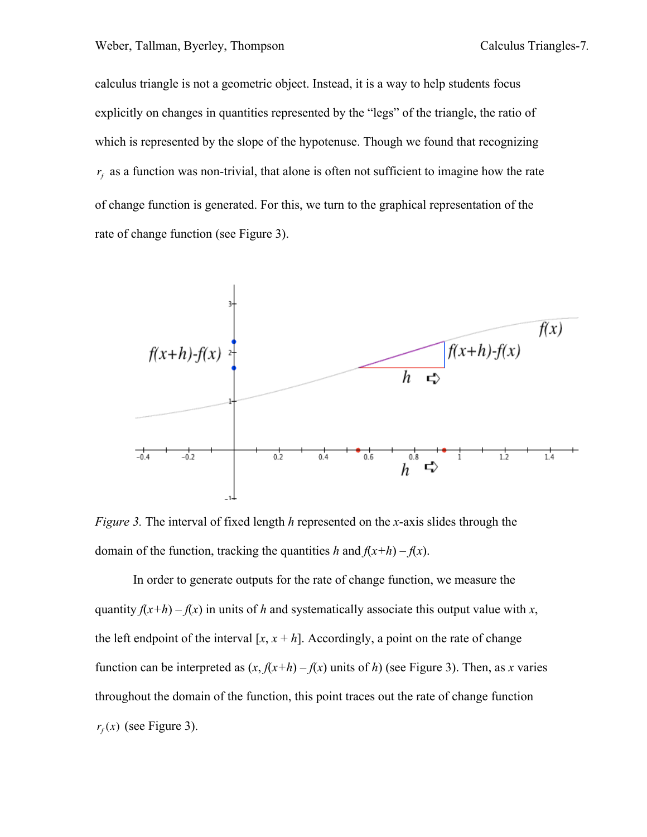calculus triangle is not a geometric object. Instead, it is a way to help students focus explicitly on changes in quantities represented by the "legs" of the triangle, the ratio of which is represented by the slope of the hypotenuse. Though we found that recognizing  $r_f$  as a function was non-trivial, that alone is often not sufficient to imagine how the rate of change function is generated. For this, we turn to the graphical representation of the rate of change function (see Figure 3).



*Figure 3.* The interval of fixed length *h* represented on the *x*-axis slides through the domain of the function, tracking the quantities *h* and  $f(x+h) - f(x)$ .

In order to generate outputs for the rate of change function, we measure the quantity  $f(x+h) - f(x)$  in units of *h* and systematically associate this output value with *x*, the left endpoint of the interval  $[x, x + h]$ . Accordingly, a point on the rate of change function can be interpreted as  $(x, f(x+h) - f(x))$  units of *h*) (see Figure 3). Then, as *x* varies throughout the domain of the function, this point traces out the rate of change function  $r_f(x)$  (see Figure 3).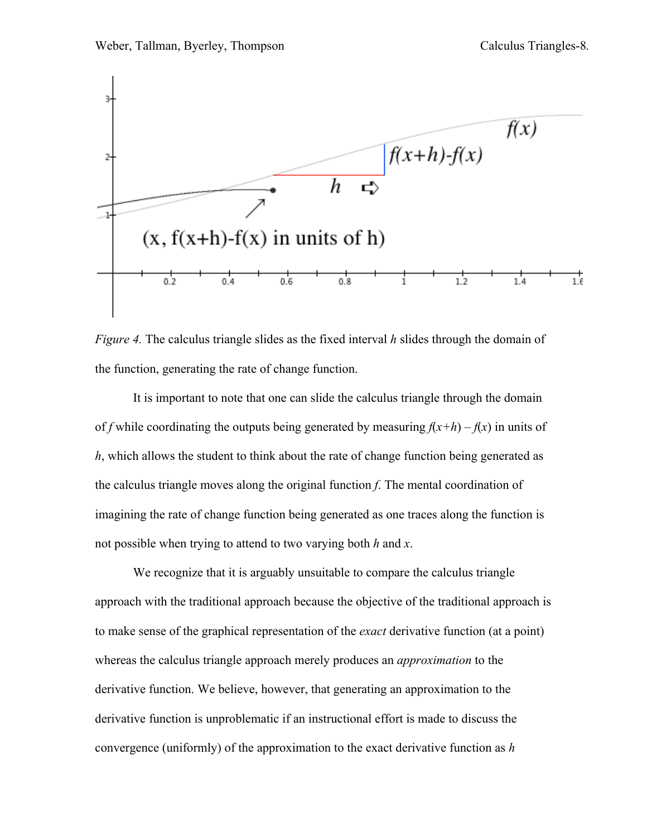

*Figure 4.* The calculus triangle slides as the fixed interval *h* slides through the domain of the function, generating the rate of change function.

It is important to note that one can slide the calculus triangle through the domain of *f* while coordinating the outputs being generated by measuring  $f(x+h) - f(x)$  in units of *h*, which allows the student to think about the rate of change function being generated as the calculus triangle moves along the original function *f*. The mental coordination of imagining the rate of change function being generated as one traces along the function is not possible when trying to attend to two varying both *h* and *x*.

We recognize that it is arguably unsuitable to compare the calculus triangle approach with the traditional approach because the objective of the traditional approach is to make sense of the graphical representation of the *exact* derivative function (at a point) whereas the calculus triangle approach merely produces an *approximation* to the derivative function. We believe, however, that generating an approximation to the derivative function is unproblematic if an instructional effort is made to discuss the convergence (uniformly) of the approximation to the exact derivative function as *h*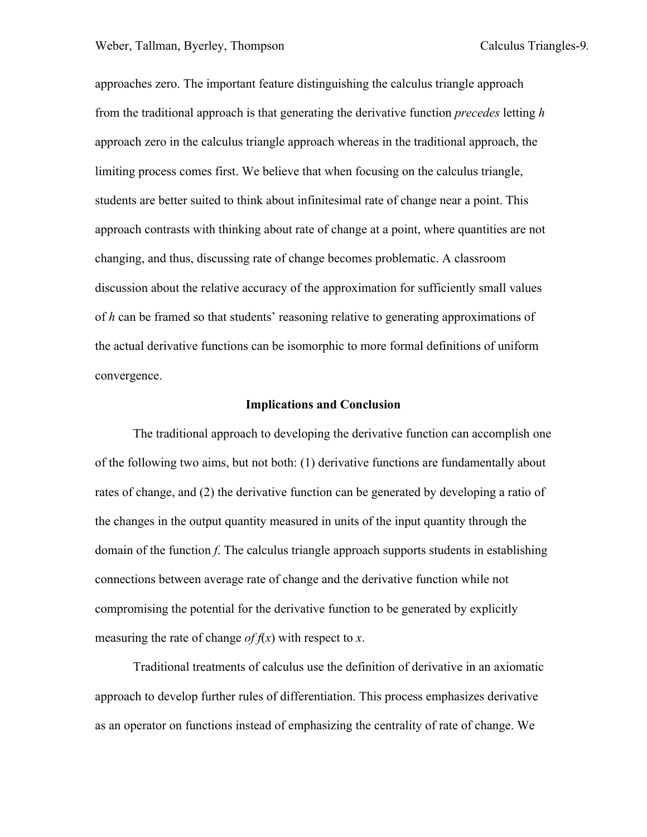approaches zero. The important feature distinguishing the calculus triangle approach from the traditional approach is that generating the derivative function *precedes* letting *h* approach zero in the calculus triangle approach whereas in the traditional approach, the limiting process comes first. We believe that when focusing on the calculus triangle, students are better suited to think about infinitesimal rate of change near a point. This approach contrasts with thinking about rate of change at a point, where quantities are not changing, and thus, discussing rate of change becomes problematic. A classroom discussion about the relative accuracy of the approximation for sufficiently small values of *h* can be framed so that students' reasoning relative to generating approximations of the actual derivative functions can be isomorphic to more formal definitions of uniform convergence.

#### **Implications and Conclusion**

The traditional approach to developing the derivative function can accomplish one of the following two aims, but not both: (1) derivative functions are fundamentally about rates of change, and (2) the derivative function can be generated by developing a ratio of the changes in the output quantity measured in units of the input quantity through the domain of the function *f*. The calculus triangle approach supports students in establishing connections between average rate of change and the derivative function while not compromising the potential for the derivative function to be generated by explicitly measuring the rate of change *of*  $f(x)$  with respect to *x*.

Traditional treatments of calculus use the definition of derivative in an axiomatic approach to develop further rules of differentiation. This process emphasizes derivative as an operator on functions instead of emphasizing the centrality of rate of change. We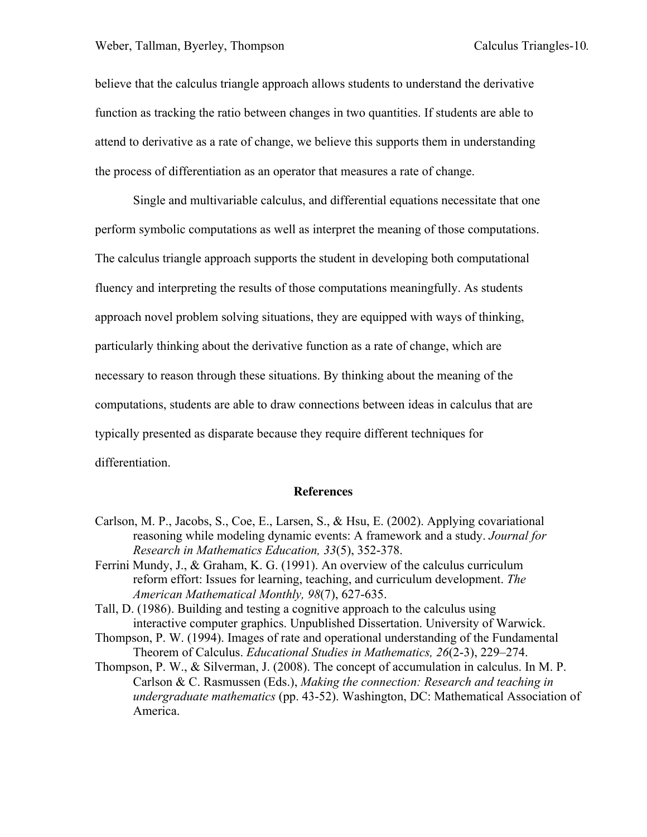believe that the calculus triangle approach allows students to understand the derivative function as tracking the ratio between changes in two quantities. If students are able to attend to derivative as a rate of change, we believe this supports them in understanding the process of differentiation as an operator that measures a rate of change.

Single and multivariable calculus, and differential equations necessitate that one perform symbolic computations as well as interpret the meaning of those computations. The calculus triangle approach supports the student in developing both computational fluency and interpreting the results of those computations meaningfully. As students approach novel problem solving situations, they are equipped with ways of thinking, particularly thinking about the derivative function as a rate of change, which are necessary to reason through these situations. By thinking about the meaning of the computations, students are able to draw connections between ideas in calculus that are typically presented as disparate because they require different techniques for differentiation.

# **References**

- Carlson, M. P., Jacobs, S., Coe, E., Larsen, S., & Hsu, E. (2002). Applying covariational reasoning while modeling dynamic events: A framework and a study. *Journal for Research in Mathematics Education, 33*(5), 352-378.
- Ferrini Mundy, J., & Graham, K. G. (1991). An overview of the calculus curriculum reform effort: Issues for learning, teaching, and curriculum development. *The American Mathematical Monthly, 98*(7), 627-635.
- Tall, D. (1986). Building and testing a cognitive approach to the calculus using interactive computer graphics. Unpublished Dissertation. University of Warwick.
- Thompson, P. W. (1994). Images of rate and operational understanding of the Fundamental Theorem of Calculus. *Educational Studies in Mathematics, 26*(2-3), 229–274.
- Thompson, P. W., & Silverman, J. (2008). The concept of accumulation in calculus. In M. P. Carlson & C. Rasmussen (Eds.), *Making the connection: Research and teaching in undergraduate mathematics* (pp. 43-52). Washington, DC: Mathematical Association of America.